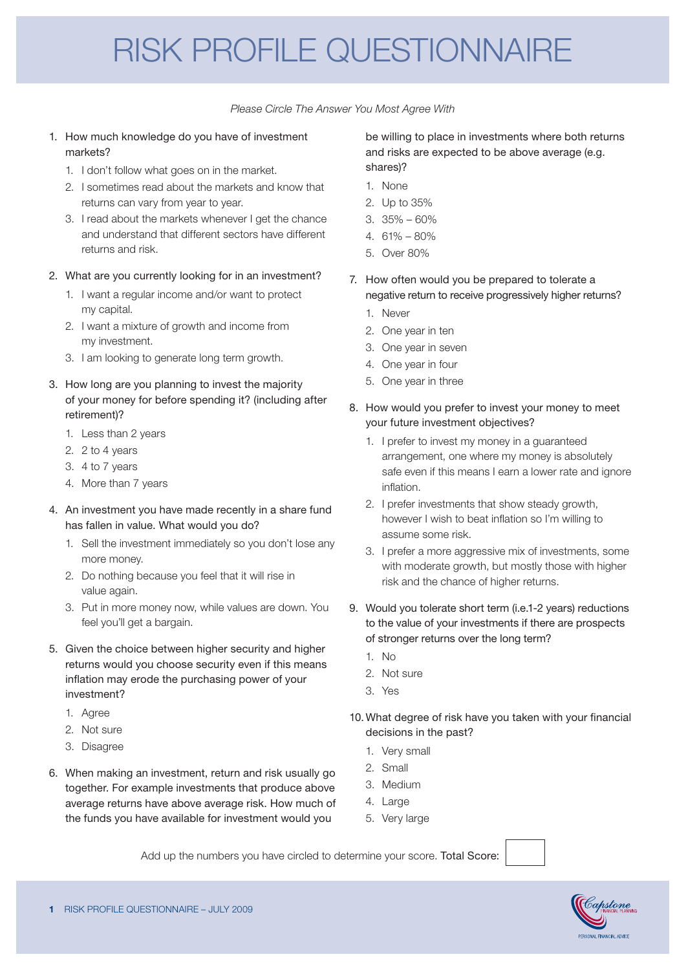## RISK PROFILE QUESTIONNAIRE

*Please Circle The Answer You Most Agree With*

- 1. How much knowledge do you have of investment markets?
	- 1. I don't follow what goes on in the market.
	- 2. I sometimes read about the markets and know that returns can vary from year to year.
	- 3. I read about the markets whenever I get the chance and understand that different sectors have different returns and risk.
- 2. What are you currently looking for in an investment?
	- 1. I want a regular income and/or want to protect my capital.
	- 2. I want a mixture of growth and income from my investment.
	- 3. I am looking to generate long term growth.
- 3. How long are you planning to invest the majority of your money for before spending it? (including after retirement)?
	- 1. Less than 2 years
	- 2. 2 to 4 years
	- 3. 4 to 7 years
	- 4. More than 7 years
- 4. An investment you have made recently in a share fund has fallen in value. What would you do?
	- 1. Sell the investment immediately so you don't lose any more money.
	- 2. Do nothing because you feel that it will rise in value again.
	- 3. Put in more money now, while values are down. You feel you'll get a bargain.
- 5. Given the choice between higher security and higher returns would you choose security even if this means inflation may erode the purchasing power of your investment?
	- 1. Agree
	- 2. Not sure
	- 3. Disagree
- 6. When making an investment, return and risk usually go together. For example investments that produce above average returns have above average risk. How much of the funds you have available for investment would you

be willing to place in investments where both returns and risks are expected to be above average (e.g. shares)?

- 1. None
- 2. Up to 35%
- 3. 35% 60%
- $4.61\% 80\%$
- 5. Over 80%
- 7. How often would you be prepared to tolerate a negative return to receive progressively higher returns?
	- 1. Never
	- 2. One year in ten
	- 3. One year in seven
	- 4. One year in four
	- 5. One year in three
- 8. How would you prefer to invest your money to meet your future investment objectives?
	- 1. I prefer to invest my money in a guaranteed arrangement, one where my money is absolutely safe even if this means I earn a lower rate and ignore inflation.
	- 2. I prefer investments that show steady growth, however I wish to beat inflation so I'm willing to assume some risk.
	- 3. I prefer a more aggressive mix of investments, some with moderate growth, but mostly those with higher risk and the chance of higher returns.
- 9. Would you tolerate short term (i.e.1-2 years) reductions to the value of your investments if there are prospects of stronger returns over the long term?
	- 1. No
	- 2. Not sure
	- 3. Yes
- 10.What degree of risk have you taken with your financial decisions in the past?
	- 1. Very small
	- 2. Small
	- 3. Medium
	- 4. Large
	- 5. Very large

Add up the numbers you have circled to determine your score. Total Score: